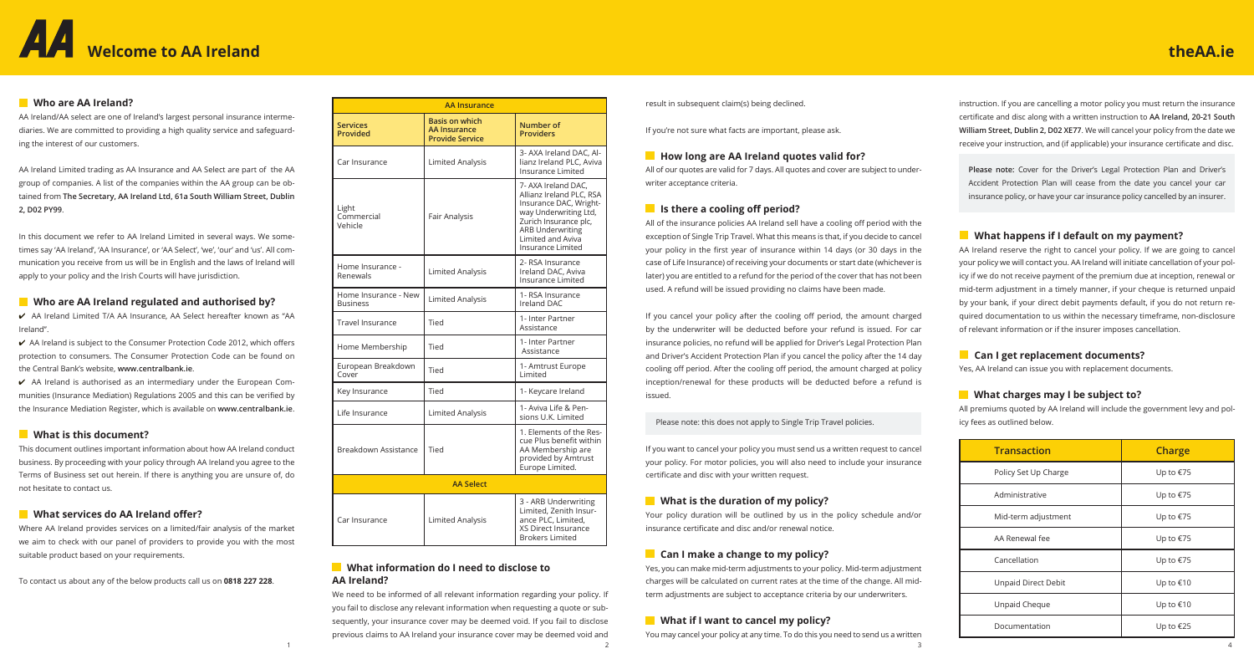# **Welcome to AA Ireland**

instruction. If you are cancelling a motor policy you must return the insurance certificate and disc along with a written instruction to **AA Ireland, 20-21 South William Street, Dublin 2, D02 XE77**. We will cancel your policy from the date we receive your instruction, and (if applicable) your insurance certificate and disc.

**Please note:** Cover for the Driver's Legal Protection Plan and Driver's Accident Protection Plan will cease from the date you cancel your car insurance policy, or have your car insurance policy cancelled by an insurer.

## **What happens if I default on my payment?**

AA Ireland reserve the right to cancel your policy. If we are going to cancel your policy we will contact you. AA Ireland will initiate cancellation of your policy if we do not receive payment of the premium due at inception, renewal or mid-term adjustment in a timely manner, if your cheque is returned unpaid by your bank, if your direct debit payments default, if you do not return required documentation to us within the necessary timeframe, non-disclosure of relevant information or if the insurer imposes cancellation.

## **What charges may I be subject to?**

## **Can I get replacement documents?**

Yes, AA Ireland can issue you with replacement documents.

All premiums quoted by AA Ireland will include the government levy and policy fees as outlined below.



result in subsequent claim(s) being declined.

If you're not sure what facts are important, please ask.

## **How long are AA Ireland quotes valid for?**

All of our quotes are valid for 7 days. All quotes and cover are subject to underwriter acceptance criteria.

## **Is there a cooling off period?**

We need to be informed of all relevant information regarding your policy. If you fail to disclose any relevant information when requesting a quote or subsequently, your insurance cover may be deemed void. If you fail to disclose previous claims to AA Ireland your insurance cover may be deemed void and 1  $\frac{2}{3}$  4

All of the insurance policies AA Ireland sell have a cooling off period with the exception of Single Trip Travel. What this means is that, if you decide to cancel your policy in the first year of insurance within 14 days (or 30 days in the case of Life Insurance) of receiving your documents or start date (whichever is later) you are entitled to a refund for the period of the cover that has not been used. A refund will be issued providing no claims have been made.

If you cancel your policy after the cooling off period, the amount charged by the underwriter will be deducted before your refund is issued. For car insurance policies, no refund will be applied for Driver's Legal Protection Plan and Driver's Accident Protection Plan if you cancel the policy after the 14 day cooling off period. After the cooling off period, the amount charged at policy inception/renewal for these products will be deducted before a refund is issued.

 $\checkmark$  AA Ireland is authorised as an intermediary under the European Communities (Insurance Mediation) Regulations 2005 and this can be verified by the Insurance Mediation Register, which is available on **www.centralbank.ie**.

Please note: this does not apply to Single Trip Travel policies.

If you want to cancel your policy you must send us a written request to cancel your policy. For motor policies, you will also need to include your insurance certificate and disc with your written request.

## **What is the duration of my policy?**

Your policy duration will be outlined by us in the policy schedule and/or insurance certificate and disc and/or renewal notice.

## **Can I make a change to my policy?**

Yes, you can make mid-term adjustments to your policy. Mid-term adjustment charges will be calculated on current rates at the time of the change. All midterm adjustments are subject to acceptance criteria by our underwriters.

## **What if I want to cancel my policy?**

You may cancel your policy at any time. To do this you need to send us a written

## **What information do I need to disclose to AA Ireland?**

## **Who are AA Ireland?**

AA Ireland/AA select are one of Ireland's largest personal insurance intermediaries. We are committed to providing a high quality service and safeguarding the interest of our customers.

AA Ireland Limited trading as AA Insurance and AA Select are part of the AA group of companies. A list of the companies within the AA group can be obtained from **The Secretary, AA Ireland Ltd, 61a South William Street, Dublin 2, D02 PY99**.

In this document we refer to AA Ireland Limited in several ways. We sometimes say 'AA Ireland', 'AA Insurance', or 'AA Select', 'we', 'our' and 'us'. All communication you receive from us will be in English and the laws of Ireland will apply to your policy and the Irish Courts will have jurisdiction.

## **Who are AA Ireland regulated and authorised by?**

4 AA Ireland Limited T/A AA Insurance, AA Select hereafter known as "AA Ireland''.

4 AA Ireland is subject to the Consumer Protection Code 2012, which offers protection to consumers. The Consumer Protection Code can be found on the Central Bank's website, **www.centralbank.ie**.

## **What is this document?**

This document outlines important information about how AA Ireland conduct business. By proceeding with your policy through AA Ireland you agree to the Terms of Business set out herein. If there is anything you are unsure of, do not hesitate to contact us.

## **What services do AA Ireland offer?**

Where AA Ireland provides services on a limited/fair analysis of the market we aim to check with our panel of providers to provide you with the most suitable product based on your requirements.

To contact us about any of the below products call us on **0818 227 228**.

| Transaction          | <b>Charge</b> |  |
|----------------------|---------------|--|
| Policy Set Up Charge | Up to €75     |  |
| Administrative       | Up to €75     |  |
| Mid-term adjustment  | Up to €75     |  |
| AA Renewal fee       | Up to €75     |  |
| Cancellation         | Up to €75     |  |
| Unpaid Direct Debit  | Up to €10     |  |
| Unpaid Cheque        | Up to €10     |  |
| Documentation        | Up to €25     |  |

## **theAA.ie**

| <b>AA Insurance</b>                     |                                                                        |                                                                                                                                                                                                  |
|-----------------------------------------|------------------------------------------------------------------------|--------------------------------------------------------------------------------------------------------------------------------------------------------------------------------------------------|
| <b>Services</b><br>Provided             | <b>Basis on which</b><br><b>AA Insurance</b><br><b>Provide Service</b> | Number of<br><b>Providers</b>                                                                                                                                                                    |
| Car Insurance                           | Limited Analysis                                                       | 3- AXA Ireland DAC, Al-<br>lianz Ireland PLC, Aviva<br>Insurance Limited                                                                                                                         |
| Light<br>Commercial<br>Vehicle          | Fair Analysis                                                          | 7- AXA Ireland DAC.<br>Allianz Ireland PLC, RSA<br>Insurance DAC, Wright-<br>way Underwriting Ltd,<br>Zurich Insurance plc,<br><b>ARB Underwriting</b><br>Limited and Aviva<br>Insurance Limited |
| Home Insurance -<br>Renewals            | <b>Limited Analysis</b>                                                | 2- RSA Insurance<br>Ireland DAC, Aviva<br><b>Insurance Limited</b>                                                                                                                               |
| Home Insurance - New<br><b>Business</b> | <b>Limited Analysis</b>                                                | 1- RSA Insurance<br>Ireland DAC                                                                                                                                                                  |
| Travel Insurance                        | Tied                                                                   | 1- Inter Partner<br>Assistance                                                                                                                                                                   |
| Home Membership                         | Tied                                                                   | 1- Inter Partner<br>Assistance                                                                                                                                                                   |
| European Breakdown<br>Cover             | Tied                                                                   | 1- Amtrust Europe<br>Limited                                                                                                                                                                     |
| Key Insurance                           | Tied                                                                   | 1- Keycare Ireland                                                                                                                                                                               |
| Life Insurance                          | <b>Limited Analysis</b>                                                | 1- Aviva Life & Pen-<br>sions U.K. Limited                                                                                                                                                       |
| Breakdown Assistance                    | Tied                                                                   | 1. Elements of the Res-<br>cue Plus benefit within<br>AA Membership are<br>provided by Amtrust<br>Europe Limited.                                                                                |
|                                         | <b>AA Select</b>                                                       |                                                                                                                                                                                                  |
| Car Insurance                           | <b>Limited Analysis</b>                                                | 3 - ARB Underwriting<br>Limited, Zenith Insur-<br>ance PLC, Limited,<br>XS Direct Insurance<br><b>Brokers Limited</b>                                                                            |